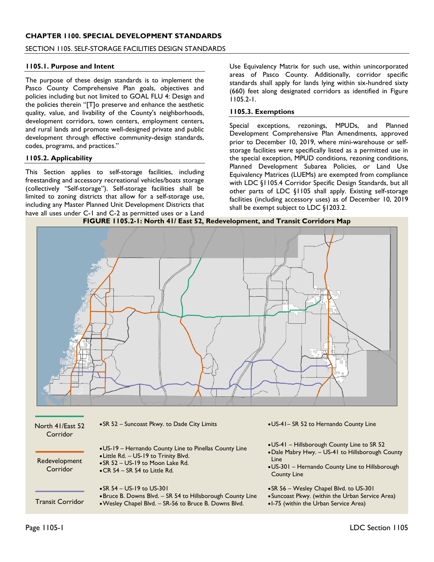## **CHAPTER 1100. SPECIAL DEVELOPMENT STANDARDS**

#### SECTION 1105. SELF-STORAGE FACILITIES DESIGN STANDARDS

#### **1105.1. Purpose and Intent**

The purpose of these design standards is to implement the Pasco County Comprehensive Plan goals, objectives and policies including but not limited to GOAL FLU 4: Design and the policies therein "[T]o preserve and enhance the aesthetic quality, value, and livability of the County's neighborhoods, development corridors, town centers, employment centers, and rural lands and promote well-designed private and public development through effective community-design standards, codes, programs, and practices."

#### **1105.2. Applicability**

This Section applies to self-storage facilities, including freestanding and accessory recreational vehicles/boats storage (collectively "Self-storage"). Self-storage facilities shall be limited to zoning districts that allow for a self-storage use, including any Master Planned Unit Development Districts that have all uses under C-1 and C-2 as permitted uses or a Land

Use Equivalency Matrix for such use, within unincorporated areas of Pasco County. Additionally, corridor specific standards shall apply for lands lying within six-hundred sixty (660) feet along designated corridors as identified in Figure 1105.2-1.

#### **1105.3. Exemptions**

Special exceptions, rezonings, MPUDs, and Planned Development Comprehensive Plan Amendments, approved prior to December 10, 2019, where mini-warehouse or selfstorage facilities were specifically listed as a permitted use in the special exception, MPUD conditions, rezoning conditions, Planned Development Subarea Policies, or Land Use Equivalency Matrices (LUEMs) are exempted from compliance with LDC §1105.4 Corridor Specific Design Standards, but all other parts of LDC §1105 shall apply. Existing self-storage facilities (including accessory uses) as of December 10, 2019 shall be exempt subject to LDC §1203.2.





| North 41/East 52<br>Corridor | • SR 52 - Suncoast Pkwy. to Dade City Limits                                                                                                                                         | • US-41- SR 52 to Hernando County Line                                                                                                                                           |
|------------------------------|--------------------------------------------------------------------------------------------------------------------------------------------------------------------------------------|----------------------------------------------------------------------------------------------------------------------------------------------------------------------------------|
| Redevelopment<br>Corridor    | • US-19 – Hernando County Line to Pinellas County Line<br>• Little Rd. - US-19 to Trinity Blvd.<br>$\bullet$ SR 52 - US-19 to Moon Lake Rd.<br>$\bullet$ CR 54 – SR 54 to Little Rd. | • US-41 – Hillsborough County Line to SR 52<br>• Dale Mabry Hwy. - US-41 to Hillsborough County<br>Line<br>• US-301 – Hernando County Line to Hillsborough<br><b>County Line</b> |
| <b>Transit Corridor</b>      | • SR $54 - US-19$ to US-301<br>• Bruce B. Downs Blvd. – SR 54 to Hillsborough County Line<br>• Wesley Chapel Blvd. - SR-56 to Bruce B. Downs Blvd.                                   | • SR 56 – Wesley Chapel Blvd. to US-301<br>• Suncoast Pkwy. (within the Urban Service Area)<br>•1-75 (within the Urban Service Area)                                             |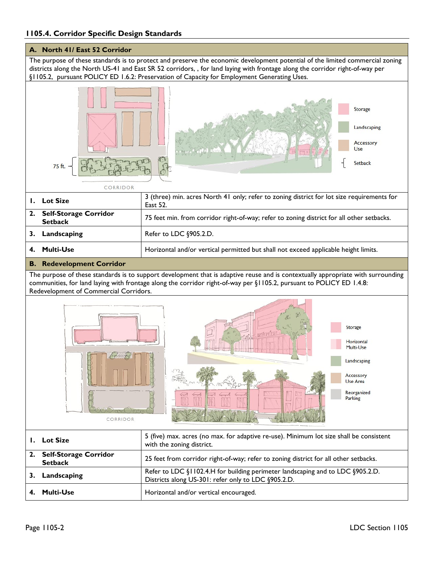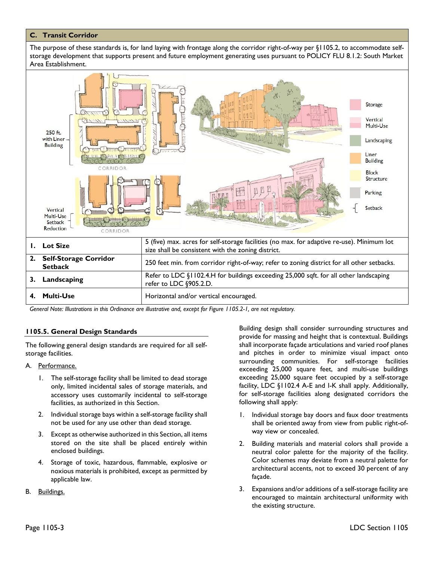## **C. Transit Corridor**

The purpose of these standards is, for land laying with frontage along the corridor right-of-way per §1105.2, to accommodate selfstorage development that supports present and future employment generating uses pursuant to POLICY FLU 8.1.2: South Market Area Establishment.



*General Note: Illustrations in this Ordinance are illustrative and, except for Figure 1105.2-1, are not regulatory.*

### **1105.5. General Design Standards**

The following general design standards are required for all selfstorage facilities.

- A. Performance.
	- 1. The self-storage facility shall be limited to dead storage only, limited incidental sales of storage materials, and accessory uses customarily incidental to self-storage facilities, as authorized in this Section.
	- 2. Individual storage bays within a self-storage facility shall not be used for any use other than dead storage.
	- 3. Except as otherwise authorized in this Section, all items stored on the site shall be placed entirely within enclosed buildings.
	- 4. Storage of toxic, hazardous, flammable, explosive or noxious materials is prohibited, except as permitted by applicable law.
- B. Buildings.

Building design shall consider surrounding structures and provide for massing and height that is contextual. Buildings shall incorporate façade articulations and varied roof planes and pitches in order to minimize visual impact onto surrounding communities. For self-storage facilities exceeding 25,000 square feet, and multi-use buildings exceeding 25,000 square feet occupied by a self-storage facility, LDC §1102.4 A-E and I-K shall apply. Additionally, for self-storage facilities along designated corridors the following shall apply:

- 1. Individual storage bay doors and faux door treatments shall be oriented away from view from public right-ofway view or concealed.
- 2. Building materials and material colors shall provide a neutral color palette for the majority of the facility. Color schemes may deviate from a neutral palette for architectural accents, not to exceed 30 percent of any façade.
- 3. Expansions and/or additions of a self-storage facility are encouraged to maintain architectural uniformity with the existing structure.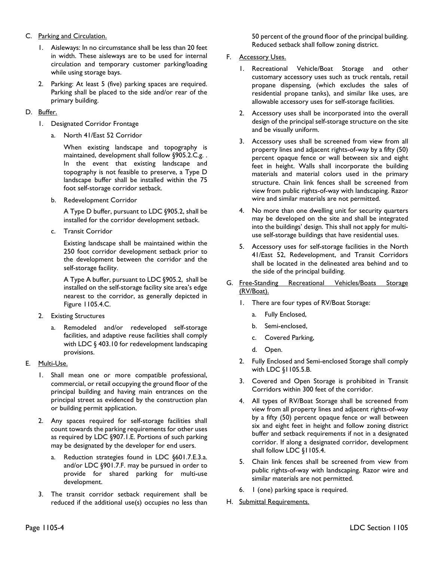## C. Parking and Circulation.

- 1. Aisleways: In no circumstance shall be less than 20 feet in width. These aisleways are to be used for internal circulation and temporary customer parking/loading while using storage bays.
- 2. Parking: At least 5 (five) parking spaces are required. Parking shall be placed to the side and/or rear of the primary building.

# D. Buffer.

- 1. Designated Corridor Frontage
	- a. North 41/East 52 Corridor

When existing landscape and topography is maintained, development shall follow §905.2.C.g. . In the event that existing landscape and topography is not feasible to preserve, a Type D landscape buffer shall be installed within the 75 foot self-storage corridor setback.

b. Redevelopment Corridor

A Type D buffer, pursuant to LDC §905.2, shall be installed for the corridor development setback.

c. Transit Corridor

Existing landscape shall be maintained within the 250 foot corridor development setback prior to the development between the corridor and the self-storage facility.

A Type A buffer, pursuant to LDC §905.2, shall be installed on the self-storage facility site area's edge nearest to the corridor, as generally depicted in Figure 1105.4.C.

- 2. Existing Structures
	- Remodeled and/or redeveloped self-storage facilities, and adaptive reuse facilities shall comply with LDC § 403.10 for redevelopment landscaping provisions.
- E. Multi-Use.
	- 1. Shall mean one or more compatible professional, commercial, or retail occupying the ground floor of the principal building and having main entrances on the principal street as evidenced by the construction plan or building permit application.
	- 2. Any spaces required for self-storage facilities shall count towards the parking requirements for other uses as required by LDC §907.1.E. Portions of such parking may be designated by the developer for end users.
		- a. Reduction strategies found in LDC §601.7.E.3.a. and/or LDC §901.7.F. may be pursued in order to provide for shared parking for multi-use development.
	- 3. The transit corridor setback requirement shall be reduced if the additional use(s) occupies no less than

50 percent of the ground floor of the principal building. Reduced setback shall follow zoning district.

# F. Accessory Uses.

- 1. Recreational Vehicle/Boat Storage and other customary accessory uses such as truck rentals, retail propane dispensing, (which excludes the sales of residential propane tanks), and similar like uses, are allowable accessory uses for self-storage facilities.
- 2. Accessory uses shall be incorporated into the overall design of the principal self-storage structure on the site and be visually uniform.
- 3. Accessory uses shall be screened from view from all property lines and adjacent rights-of-way by a fifty (50) percent opaque fence or wall between six and eight feet in height. Walls shall incorporate the building materials and material colors used in the primary structure. Chain link fences shall be screened from view from public rights-of-way with landscaping. Razor wire and similar materials are not permitted.
- 4. No more than one dwelling unit for security quarters may be developed on the site and shall be integrated into the buildings' design. This shall not apply for multiuse self-storage buildings that have residential uses.
- 5. Accessory uses for self-storage facilities in the North 41/East 52, Redevelopment, and Transit Corridors shall be located in the delineated area behind and to the side of the principal building.
- G. Free-Standing Recreational Vehicles/Boats Storage (RV/Boat).
	- 1. There are four types of RV/Boat Storage:
		- a. Fully Enclosed,
		- b. Semi-enclosed,
		- c. Covered Parking,
		- d. Open.
	- 2. Fully Enclosed and Semi-enclosed Storage shall comply with LDC §1105.5.B.
	- 3. Covered and Open Storage is prohibited in Transit Corridors within 300 feet of the corridor.
	- 4. All types of RV/Boat Storage shall be screened from view from all property lines and adjacent rights-of-way by a fifty (50) percent opaque fence or wall between six and eight feet in height and follow zoning district buffer and setback requirements if not in a designated corridor. If along a designated corridor, development shall follow LDC §1105.4.
	- 5. Chain link fences shall be screened from view from public rights-of-way with landscaping. Razor wire and similar materials are not permitted.
	- 6. 1 (one) parking space is required.
- H. Submittal Requirements.